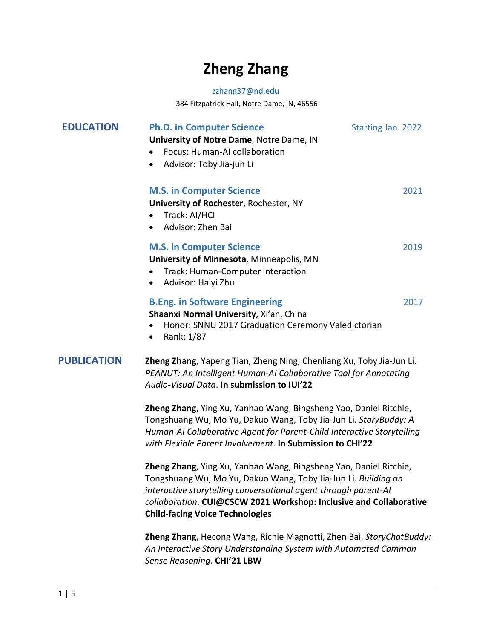# **Zheng Zhang**

#### zzhang37@nd.edu

384 Fitzpatrick Hall, Notre Dame, IN, 46556

| <b>EDUCATION</b>   | <b>Ph.D. in Computer Science</b><br>University of Notre Dame, Notre Dame, IN<br>Focus: Human-AI collaboration<br>Advisor: Toby Jia-jun Li<br>٠                                                                                                                                                                         | <b>Starting Jan. 2022</b> |  |
|--------------------|------------------------------------------------------------------------------------------------------------------------------------------------------------------------------------------------------------------------------------------------------------------------------------------------------------------------|---------------------------|--|
|                    | <b>M.S. in Computer Science</b><br>University of Rochester, Rochester, NY<br>Track: AI/HCI<br>Advisor: Zhen Bai                                                                                                                                                                                                        | 2021                      |  |
|                    | <b>M.S. in Computer Science</b><br>University of Minnesota, Minneapolis, MN<br>Track: Human-Computer Interaction<br>Advisor: Haiyi Zhu<br>٠                                                                                                                                                                            | 2019                      |  |
|                    | <b>B.Eng. in Software Engineering</b><br>Shaanxi Normal University, Xi'an, China<br>Honor: SNNU 2017 Graduation Ceremony Valedictorian<br>Rank: 1/87<br>٠                                                                                                                                                              | 2017                      |  |
| <b>PUBLICATION</b> | Zheng Zhang, Yapeng Tian, Zheng Ning, Chenliang Xu, Toby Jia-Jun Li.<br>PEANUT: An Intelligent Human-AI Collaborative Tool for Annotating<br>Audio-Visual Data. In submission to IUI'22                                                                                                                                |                           |  |
|                    | Zheng Zhang, Ying Xu, Yanhao Wang, Bingsheng Yao, Daniel Ritchie,<br>Tongshuang Wu, Mo Yu, Dakuo Wang, Toby Jia-Jun Li. StoryBuddy: A<br>Human-AI Collaborative Agent for Parent-Child Interactive Storytelling<br>with Flexible Parent Involvement. In Submission to CHI'22                                           |                           |  |
|                    | Zheng Zhang, Ying Xu, Yanhao Wang, Bingsheng Yao, Daniel Ritchie,<br>Tongshuang Wu, Mo Yu, Dakuo Wang, Toby Jia-Jun Li. Building an<br>interactive storytelling conversational agent through parent-AI<br>collaboration. CUI@CSCW 2021 Workshop: Inclusive and Collaborative<br><b>Child-facing Voice Technologies</b> |                           |  |

**Zheng Zhang**, Hecong Wang, Richie Magnotti, Zhen Bai. *StoryChatBuddy: An Interactive Story Understanding System with Automated Common Sense Reasoning*. **CHI'21 LBW**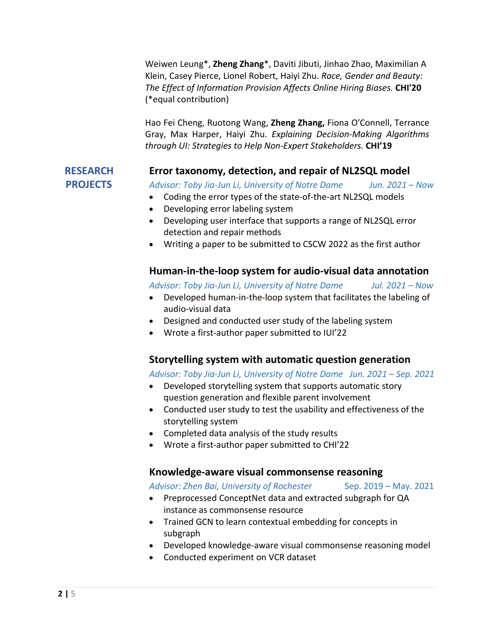Weiwen Leung\*, **Zheng Zhang**\*, Daviti Jibuti, Jinhao Zhao, Maximilian A Klein, Casey Pierce, Lionel Robert, Haiyi Zhu. *Race, Gender and Beauty: The Effect of Information Provision Affects Online Hiring Biases.* **CHI'20** (\*equal contribution)

Hao Fei Cheng, Ruotong Wang, **Zheng Zhang,** Fiona O'Connell, Terrance Gray, Max Harper, Haiyi Zhu. *Explaining Decision-Making Algorithms through UI: Strategies to Help Non-Expert Stakeholders.* **CHI'19**

#### **RESEARCH Error taxonomy, detection, and repair of NL2SQL model**

 **PROJECTS** *Advisor: Toby Jia-Jun Li, University of Notre Dame Jun. 2021 – Now*

- Coding the error types of the state-of-the-art NL2SQL models
- Developing error labeling system
- Developing user interface that supports a range of NL2SQL error detection and repair methods
- Writing a paper to be submitted to CSCW 2022 as the first author

#### **Human-in-the-loop system for audio-visual data annotation**

*Advisor: Toby Jia-Jun Li, University of Notre Dame Jul. 2021 – Now*

- Developed human-in-the-loop system that facilitates the labeling of audio-visual data
- Designed and conducted user study of the labeling system
- Wrote a first-author paper submitted to IUI'22

#### **Storytelling system with automatic question generation**

#### *Advisor: Toby Jia-Jun Li, University of Notre Dame Jun. 2021 – Sep. 2021*

- Developed storytelling system that supports automatic story question generation and flexible parent involvement
- Conducted user study to test the usability and effectiveness of the storytelling system
- Completed data analysis of the study results
- Wrote a first-author paper submitted to CHI'22

#### **Knowledge-aware visual commonsense reasoning**

#### Advisor: Zhen Bai, University of Rochester Sep. 2019 – May. 2021

- Preprocessed ConceptNet data and extracted subgraph for QA instance as commonsense resource
- Trained GCN to learn contextual embedding for concepts in subgraph
- Developed knowledge-aware visual commonsense reasoning model
- Conducted experiment on VCR dataset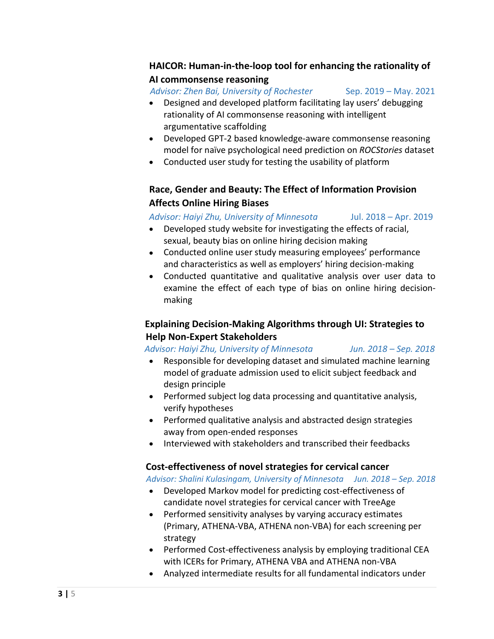## **HAICOR: Human-in-the-loop tool for enhancing the rationality of AI commonsense reasoning**

 *Advisor: Zhen Bai, University of Rochester* Sep. 2019 – May. 2021

- Designed and developed platform facilitating lay users' debugging rationality of AI commonsense reasoning with intelligent argumentative scaffolding
- Developed GPT-2 based knowledge-aware commonsense reasoning model for naïve psychological need prediction on *ROCStories* dataset
- Conducted user study for testing the usability of platform

# **Race, Gender and Beauty: The Effect of Information Provision Affects Online Hiring Biases**

# *Advisor: Haiyi Zhu, University of Minnesota* Jul. 2018 – Apr. 2019

- Developed study website for investigating the effects of racial, sexual, beauty bias on online hiring decision making
- Conducted online user study measuring employees' performance and characteristics as well as employers' hiring decision-making
- Conducted quantitative and qualitative analysis over user data to examine the effect of each type of bias on online hiring decisionmaking

# **Explaining Decision-Making Algorithms through UI: Strategies to Help Non-Expert Stakeholders**

*Advisor: Haiyi Zhu, University of Minnesota Jun. 2018 – Sep. 2018*

- Responsible for developing dataset and simulated machine learning model of graduate admission used to elicit subject feedback and design principle
- Performed subject log data processing and quantitative analysis, verify hypotheses
- Performed qualitative analysis and abstracted design strategies away from open-ended responses
- Interviewed with stakeholders and transcribed their feedbacks

#### **Cost-effectiveness of novel strategies for cervical cancer**

*Advisor: Shalini Kulasingam, University of Minnesota Jun. 2018 – Sep. 2018*

- Developed Markov model for predicting cost-effectiveness of candidate novel strategies for cervical cancer with TreeAge
- Performed sensitivity analyses by varying accuracy estimates (Primary, ATHENA-VBA, ATHENA non-VBA) for each screening per strategy
- Performed Cost-effectiveness analysis by employing traditional CEA with ICERs for Primary, ATHENA VBA and ATHENA non-VBA
- Analyzed intermediate results for all fundamental indicators under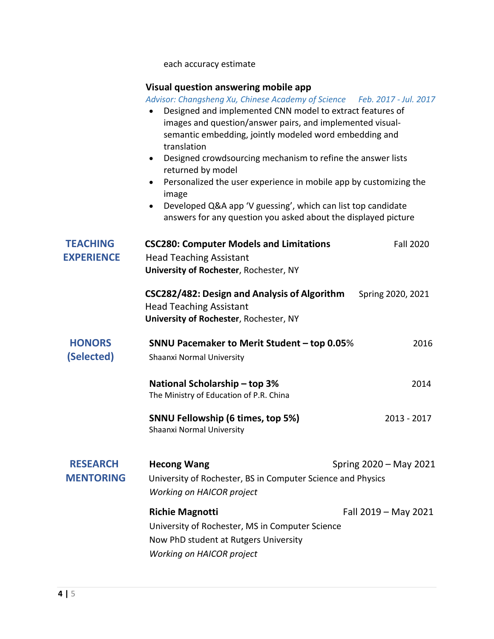each accuracy estimate

#### **Visual question answering mobile app**

 *Advisor: Changsheng Xu, Chinese Academy of Science Feb. 2017 - Jul. 2017*

- Designed and implemented CNN model to extract features of images and question/answer pairs, and implemented visualsemantic embedding, jointly modeled word embedding and translation
- Designed crowdsourcing mechanism to refine the answer lists returned by model
- Personalized the user experience in mobile app by customizing the image
- Developed Q&A app 'V guessing', which can list top candidate answers for any question you asked about the displayed picture

| <b>TEACHING</b><br><b>EXPERIENCE</b> | <b>CSC280: Computer Models and Limitations</b><br><b>Head Teaching Assistant</b><br>University of Rochester, Rochester, NY                             | <b>Fall 2020</b>     |
|--------------------------------------|--------------------------------------------------------------------------------------------------------------------------------------------------------|----------------------|
|                                      | CSC282/482: Design and Analysis of Algorithm<br><b>Head Teaching Assistant</b><br>University of Rochester, Rochester, NY                               | Spring 2020, 2021    |
| <b>HONORS</b><br>(Selected)          | <b>SNNU Pacemaker to Merit Student - top 0.05%</b><br>Shaanxi Normal University                                                                        | 2016                 |
|                                      | National Scholarship - top 3%<br>The Ministry of Education of P.R. China                                                                               | 2014                 |
|                                      | <b>SNNU Fellowship (6 times, top 5%)</b><br>Shaanxi Normal University                                                                                  | $2013 - 2017$        |
| <b>RESEARCH</b><br><b>MENTORING</b>  | <b>Hecong Wang</b><br>Spring 2020 - May 2021<br>University of Rochester, BS in Computer Science and Physics<br><b>Working on HAICOR project</b>        |                      |
|                                      | <b>Richie Magnotti</b><br>University of Rochester, MS in Computer Science<br>Now PhD student at Rutgers University<br><b>Working on HAICOR project</b> | Fall 2019 - May 2021 |